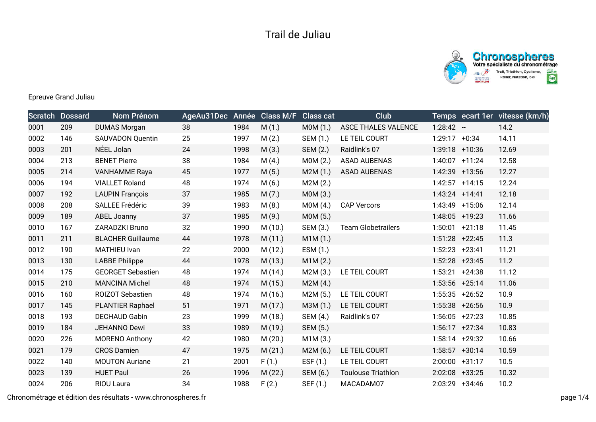



Epreuve Grand Juliau

|      | <b>Scratch Dossard</b> | Nom Prénom               | AgeAu31Dec Année Class M/F |      |         | <b>Class cat</b> | <b>Club</b>                |                  | Temps ecart 1er vitesse (km/h) |
|------|------------------------|--------------------------|----------------------------|------|---------|------------------|----------------------------|------------------|--------------------------------|
| 0001 | 209                    | <b>DUMAS Morgan</b>      | 38                         | 1984 | M(1.)   | MOM(1.)          | <b>ASCE THALES VALENCE</b> | $1:28:42 -$      | 14.2                           |
| 0002 | 146                    | <b>SAUVADON Quentin</b>  | 25                         | 1997 | M(2.)   | SEM (1.)         | LE TEIL COURT              | $1:29:17 +0:34$  | 14.11                          |
| 0003 | 201                    | NÉEL Jolan               | 24                         | 1998 | M(3.)   | SEM (2.)         | Raidlink's 07              | 1:39:18 +10:36   | 12.69                          |
| 0004 | 213                    | <b>BENET Pierre</b>      | 38                         | 1984 | M(4.)   | MOM(2.)          | <b>ASAD AUBENAS</b>        | 1:40:07 +11:24   | 12.58                          |
| 0005 | 214                    | <b>VANHAMME Raya</b>     | 45                         | 1977 | M(5.)   | M2M(1.)          | <b>ASAD AUBENAS</b>        | 1:42:39 +13:56   | 12.27                          |
| 0006 | 194                    | <b>VIALLET Roland</b>    | 48                         | 1974 | M(6.)   | M2M(2.)          |                            | $1:42:57$ +14:15 | 12.24                          |
| 0007 | 192                    | <b>LAUPIN François</b>   | 37                         | 1985 | M(7.)   | MOM(3.)          |                            | $1:43:24$ +14:41 | 12.18                          |
| 0008 | 208                    | SALLEE Frédéric          | 39                         | 1983 | M(8.)   | MOM(4.)          | <b>CAP Vercors</b>         | 1:43:49 +15:06   | 12.14                          |
| 0009 | 189                    | <b>ABEL Joanny</b>       | 37                         | 1985 | M(9.)   | MOM(5.)          |                            | 1:48:05 +19:23   | 11.66                          |
| 0010 | 167                    | ZARADZKI Bruno           | 32                         | 1990 | M(10.)  | SEM (3.)         | <b>Team Globetrailers</b>  | $1:50:01$ +21:18 | 11.45                          |
| 0011 | 211                    | <b>BLACHER Guillaume</b> | 44                         | 1978 | M(11.)  | M1M(1.)          |                            | $1:51:28$ +22:45 | 11.3                           |
| 0012 | 190                    | MATHIEU Ivan             | 22                         | 2000 | M(12.)  | ESM (1.)         |                            | $1:52:23$ +23:41 | 11.21                          |
| 0013 | 130                    | <b>LABBE Philippe</b>    | 44                         | 1978 | M (13.) | M1M(2.)          |                            | $1:52:28$ +23:45 | 11.2                           |
| 0014 | 175                    | <b>GEORGET Sebastien</b> | 48                         | 1974 | M(14.)  | M2M(3.)          | LE TEIL COURT              | $1:53:21 +24:38$ | 11.12                          |
| 0015 | 210                    | <b>MANCINA Michel</b>    | 48                         | 1974 | M(15.)  | M2M(4.)          |                            | 1:53:56 +25:14   | 11.06                          |
| 0016 | 160                    | <b>ROIZOT Sebastien</b>  | 48                         | 1974 | M (16.) | M2M(5.)          | LE TEIL COURT              | $1:55:35$ +26:52 | 10.9                           |
| 0017 | 145                    | <b>PLANTIER Raphael</b>  | 51                         | 1971 | M(17.)  | M3M (1.)         | LE TEIL COURT              | $1:55:38$ +26:56 | 10.9                           |
| 0018 | 193                    | <b>DECHAUD Gabin</b>     | 23                         | 1999 | M(18.)  | SEM (4.)         | Raidlink's 07              | $1:56:05$ +27:23 | 10.85                          |
| 0019 | 184                    | JEHANNO Dewi             | 33                         | 1989 | M (19.) | SEM (5.)         |                            | $1:56:17$ +27:34 | 10.83                          |
| 0020 | 226                    | <b>MORENO Anthony</b>    | 42                         | 1980 | M(20.)  | M1M(3.)          |                            | $1:58:14$ +29:32 | 10.66                          |
| 0021 | 179                    | <b>CROS Damien</b>       | 47                         | 1975 | M(21.)  | M2M(6.)          | LE TEIL COURT              | $1:58:57$ +30:14 | 10.59                          |
| 0022 | 140                    | <b>MOUTON Auriane</b>    | 21                         | 2001 | F(1.)   | ESF $(1.)$       | LE TEIL COURT              | $2:00:00$ +31:17 | 10.5                           |
| 0023 | 139                    | <b>HUET Paul</b>         | 26                         | 1996 | M(22.)  | SEM (6.)         | <b>Toulouse Triathlon</b>  | 2:02:08 +33:25   | 10.32                          |
| 0024 | 206                    | RIOU Laura               | 34                         | 1988 | F(2.)   | SEF (1.)         | MACADAM07                  | 2:03:29 +34:46   | 10.2                           |

Chronométrage et édition des résultats - www.chronospheres.fr page 1/4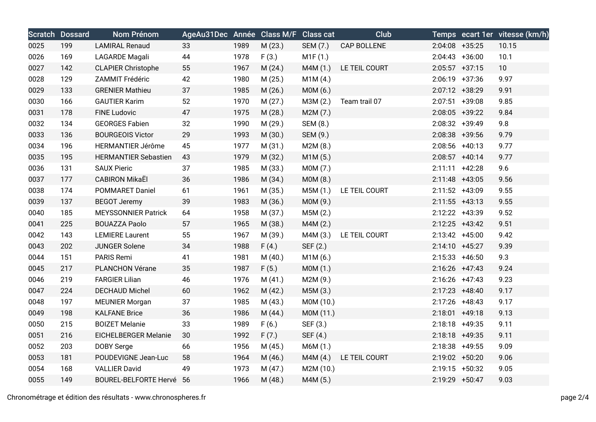|      | <b>Scratch Dossard</b> | Nom Prénom                  | AgeAu31Dec Année Class M/F Class cat |      |         |           | <b>Club</b>   |                   | Temps ecart 1er vitesse (km/h) |
|------|------------------------|-----------------------------|--------------------------------------|------|---------|-----------|---------------|-------------------|--------------------------------|
| 0025 | 199                    | <b>LAMIRAL Renaud</b>       | 33                                   | 1989 | M(23.)  | SEM (7.)  | CAP BOLLENE   | $2:04:08$ +35:25  | 10.15                          |
| 0026 | 169                    | LAGARDE Magali              | 44                                   | 1978 | F(3.)   | M1F(1.)   |               | $2:04:43 +36:00$  | 10.1                           |
| 0027 | 142                    | <b>CLAPIER Christophe</b>   | 55                                   | 1967 | M(24.)  | M4M (1.)  | LE TEIL COURT | $2:05:57$ +37:15  | 10                             |
| 0028 | 129                    | ZAMMIT Frédéric             | 42                                   | 1980 | M(25.)  | M1M(4.)   |               | $2:06:19$ +37:36  | 9.97                           |
| 0029 | 133                    | <b>GRENIER Mathieu</b>      | 37                                   | 1985 | M(26.)  | MOM(6.)   |               | 2:07:12 +38:29    | 9.91                           |
| 0030 | 166                    | <b>GAUTIER Karim</b>        | 52                                   | 1970 | M(27.)  | M3M (2.)  | Team trail 07 | $2:07:51$ +39:08  | 9.85                           |
| 0031 | 178                    | <b>FINE Ludovic</b>         | 47                                   | 1975 | M(28.)  | M2M(7.)   |               | $2:08:05$ +39:22  | 9.84                           |
| 0032 | 134                    | <b>GEORGES Fabien</b>       | 32                                   | 1990 | M(29.)  | SEM (8.)  |               | 2:08:32 +39:49    | 9.8                            |
| 0033 | 136                    | <b>BOURGEOIS Victor</b>     | 29                                   | 1993 | M(30.)  | SEM (9.)  |               | $2:08:38$ +39:56  | 9.79                           |
| 0034 | 196                    | <b>HERMANTIER Jérôme</b>    | 45                                   | 1977 | M(31.)  | M2M(8.)   |               | $2:08:56$ +40:13  | 9.77                           |
| 0035 | 195                    | <b>HERMANTIER Sebastien</b> | 43                                   | 1979 | M(32.)  | M1M(5.)   |               | $2:08:57$ +40:14  | 9.77                           |
| 0036 | 131                    | <b>SAUX Pieric</b>          | 37                                   | 1985 | M (33.) | M0M (7.)  |               | $2:11:11 + 42:28$ | 9.6                            |
| 0037 | 177                    | <b>CABIRON MikaEl</b>       | 36                                   | 1986 | M(34.)  | MOM(8.)   |               | $2:11:48$ +43:05  | 9.56                           |
| 0038 | 174                    | <b>POMMARET Daniel</b>      | 61                                   | 1961 | M(35.)  | M5M (1.)  | LE TEIL COURT | 2:11:52 +43:09    | 9.55                           |
| 0039 | 137                    | <b>BEGOT Jeremy</b>         | 39                                   | 1983 | M (36.) | M0M (9.)  |               | $2:11:55$ +43:13  | 9.55                           |
| 0040 | 185                    | <b>MEYSSONNIER Patrick</b>  | 64                                   | 1958 | M (37.) | M5M (2.)  |               | 2:12:22 +43:39    | 9.52                           |
| 0041 | 225                    | <b>BOUAZZA Paolo</b>        | 57                                   | 1965 | M (38.) | M4M(2.)   |               | $2:12:25$ +43:42  | 9.51                           |
| 0042 | 143                    | <b>LEMIERE Laurent</b>      | 55                                   | 1967 | M (39.) | M4M (3.)  | LE TEIL COURT | $2:13:42$ +45:00  | 9.42                           |
| 0043 | 202                    | <b>JUNGER Solene</b>        | 34                                   | 1988 | F(4.)   | SEF (2.)  |               | $2:14:10 + 45:27$ | 9.39                           |
| 0044 | 151                    | PARIS Remi                  | 41                                   | 1981 | M(40.)  | M1M(6.)   |               | $2:15:33 +46:50$  | 9.3                            |
| 0045 | 217                    | <b>PLANCHON Vérane</b>      | 35                                   | 1987 | F(5.)   | MOM(1.)   |               | $2:16:26$ +47:43  | 9.24                           |
| 0046 | 219                    | <b>FARGIER Lilian</b>       | 46                                   | 1976 | M(41.)  | M2M (9.)  |               | $2:16:26$ +47:43  | 9.23                           |
| 0047 | 224                    | <b>DECHAUD Michel</b>       | 60                                   | 1962 | M(42.)  | M5M (3.)  |               | $2:17:23$ +48:40  | 9.17                           |
| 0048 | 197                    | <b>MEUNIER Morgan</b>       | 37                                   | 1985 | M(43.)  | M0M (10.) |               | 2:17:26 +48:43    | 9.17                           |
| 0049 | 198                    | <b>KALFANE Brice</b>        | 36                                   | 1986 | M(44.)  | M0M (11.) |               | $2:18:01$ +49:18  | 9.13                           |
| 0050 | 215                    | <b>BOIZET Melanie</b>       | 33                                   | 1989 | F(6.)   | SEF (3.)  |               | $2:18:18$ +49:35  | 9.11                           |
| 0051 | 216                    | <b>EICHELBERGER Melanie</b> | 30                                   | 1992 | F(7.)   | SEF (4.)  |               | $2:18:18$ +49:35  | 9.11                           |
| 0052 | 203                    | DOBY Serge                  | 66                                   | 1956 | M(45.)  | M6M (1.)  |               | $2:18:38$ +49:55  | 9.09                           |
| 0053 | 181                    | POUDEVIGNE Jean-Luc         | 58                                   | 1964 | M(46.)  | M4M (4.)  | LE TEIL COURT | 2:19:02 +50:20    | 9.06                           |
| 0054 | 168                    | <b>VALLIER David</b>        | 49                                   | 1973 | M(47.)  | M2M (10.) |               | $2:19:15$ +50:32  | 9.05                           |
| 0055 | 149                    | BOUREL-BELFORTE Hervé 56    |                                      | 1966 | M(48.)  | M4M (5.)  |               | 2:19:29 +50:47    | 9.03                           |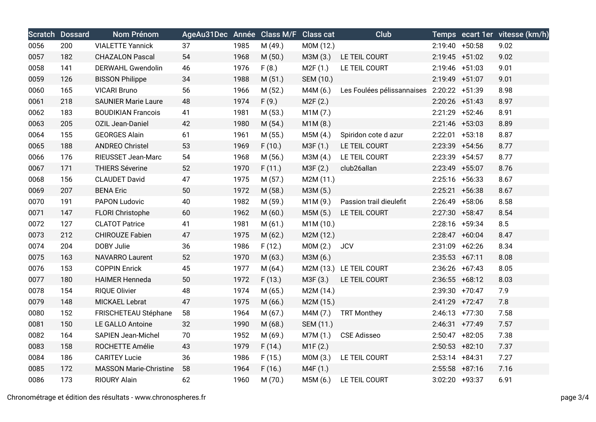|      | <b>Scratch Dossard</b> | Nom Prénom                    | AgeAu31Dec Année Class M/F Class cat |      |         |           | Club                       |                   | Temps ecart 1er vitesse (km/h) |
|------|------------------------|-------------------------------|--------------------------------------|------|---------|-----------|----------------------------|-------------------|--------------------------------|
| 0056 | 200                    | <b>VIALETTE Yannick</b>       | 37                                   | 1985 | M (49.) | M0M (12.) |                            | $2:19:40 + 50:58$ | 9.02                           |
| 0057 | 182                    | <b>CHAZALON Pascal</b>        | 54                                   | 1968 | M(50.)  | M3M (3.)  | LE TEIL COURT              | $2:19:45$ +51:02  | 9.02                           |
| 0058 | 141                    | DERWAHL Gwendolin             | 46                                   | 1976 | F(8.)   | M2F(1.)   | LE TEIL COURT              | $2:19:46$ +51:03  | 9.01                           |
| 0059 | 126                    | <b>BISSON Philippe</b>        | 34                                   | 1988 | M(51.)  | SEM (10.) |                            | 2:19:49 +51:07    | 9.01                           |
| 0060 | 165                    | <b>VICARI Bruno</b>           | 56                                   | 1966 | M(52.)  | M4M (6.)  | Les Foulées pélissannaises | 2:20:22 +51:39    | 8.98                           |
| 0061 | 218                    | <b>SAUNIER Marie Laure</b>    | 48                                   | 1974 | F(9.)   | M2F(2.)   |                            | $2:20:26$ +51:43  | 8.97                           |
| 0062 | 183                    | <b>BOUDIKIAN Francois</b>     | 41                                   | 1981 | M(53.)  | M1M(7.)   |                            | $2:21:29$ +52:46  | 8.91                           |
| 0063 | 205                    | OZIL Jean-Daniel              | 42                                   | 1980 | M(54.)  | M1M(8.)   |                            | $2:21:46$ +53:03  | 8.89                           |
| 0064 | 155                    | <b>GEORGES Alain</b>          | 61                                   | 1961 | M(55.)  | M5M(4.)   | Spiridon cote d azur       | $2:22:01$ +53:18  | 8.87                           |
| 0065 | 188                    | <b>ANDREO Christel</b>        | 53                                   | 1969 | F(10.)  | M3F (1.)  | LE TEIL COURT              | 2:23:39 +54:56    | 8.77                           |
| 0066 | 176                    | RIEUSSET Jean-Marc            | 54                                   | 1968 | M(56.)  | M3M (4.)  | LE TEIL COURT              | $2:23:39$ +54:57  | 8.77                           |
| 0067 | 171                    | <b>THIERS Séverine</b>        | 52                                   | 1970 | F(11.)  | M3F (2.)  | club26allan                | 2:23:49 +55:07    | 8.76                           |
| 0068 | 156                    | <b>CLAUDET David</b>          | 47                                   | 1975 | M(57.)  | M2M (11.) |                            | $2:25:16$ +56:33  | 8.67                           |
| 0069 | 207                    | <b>BENA Eric</b>              | 50                                   | 1972 | M (58.) | M3M (5.)  |                            | $2:25:21$ +56:38  | 8.67                           |
| 0070 | 191                    | PAPON Ludovic                 | 40                                   | 1982 | M (59.) | M1M (9.)  | Passion trail dieulefit    | $2:26:49$ +58:06  | 8.58                           |
| 0071 | 147                    | FLORI Christophe              | 60                                   | 1962 | M(60.)  | M5M (5.)  | LE TEIL COURT              | $2:27:30$ +58:47  | 8.54                           |
| 0072 | 127                    | <b>CLATOT Patrice</b>         | 41                                   | 1981 | M(61.)  | M1M (10.) |                            | 2:28:16 +59:34    | 8.5                            |
| 0073 | 212                    | <b>CHIROUZE Fabien</b>        | 47                                   | 1975 | M(62.)  | M2M (12.) |                            | $2:28:47 +60:04$  | 8.47                           |
| 0074 | 204                    | DOBY Julie                    | 36                                   | 1986 | F(12.)  | MOM(2.)   | <b>JCV</b>                 | 2:31:09 +62:26    | 8.34                           |
| 0075 | 163                    | <b>NAVARRO Laurent</b>        | 52                                   | 1970 | M(63.)  | M3M (6.)  |                            | $2:35:53$ +67:11  | 8.08                           |
| 0076 | 153                    | <b>COPPIN Enrick</b>          | 45                                   | 1977 | M(64.)  |           | M2M (13.) LE TEIL COURT    | $2:36:26$ +67:43  | 8.05                           |
| 0077 | 180                    | <b>HAIMER Henneda</b>         | 50                                   | 1972 | F(13.)  | M3F (3.)  | LE TEIL COURT              | $2:36:55$ +68:12  | 8.03                           |
| 0078 | 154                    | <b>RIQUE Olivier</b>          | 48                                   | 1974 | M(65.)  | M2M (14.) |                            | 2:39:30 +70:47    | 7.9                            |
| 0079 | 148                    | MICKAEL Lebrat                | 47                                   | 1975 | M(66.)  | M2M (15.) |                            | $2:41:29$ +72:47  | 7.8                            |
| 0080 | 152                    | FRISCHETEAU Stéphane          | 58                                   | 1964 | M(67.)  | M4M (7.)  | <b>TRT Monthey</b>         | $2:46:13$ +77:30  | 7.58                           |
| 0081 | 150                    | LE GALLO Antoine              | 32                                   | 1990 | M(68.)  | SEM (11.) |                            | $2:46:31$ +77:49  | 7.57                           |
| 0082 | 164                    | <b>SAPIEN Jean-Michel</b>     | 70                                   | 1952 | M(69.)  | M7M (1.)  | <b>CSE Adisseo</b>         | $2:50:47$ +82:05  | 7.38                           |
| 0083 | 158                    | ROCHETTE Amélie               | 43                                   | 1979 | F(14.)  | M1F(2.)   |                            | $2:50:53$ +82:10  | 7.37                           |
| 0084 | 186                    | <b>CARITEY Lucie</b>          | 36                                   | 1986 | F(15.)  | MOM(3.)   | LE TEIL COURT              | $2:53:14$ +84:31  | 7.27                           |
| 0085 | 172                    | <b>MASSON Marie-Christine</b> | 58                                   | 1964 | F(16.)  | M4F (1.)  |                            | $2:55:58$ +87:16  | 7.16                           |
| 0086 | 173                    | RIOURY Alain                  | 62                                   | 1960 | M (70.) | M5M (6.)  | LE TEIL COURT              | 3:02:20 +93:37    | 6.91                           |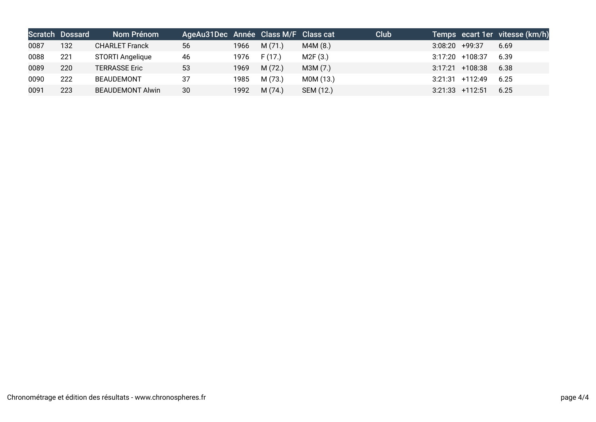|      | <b>Scratch Dossard</b> | Nom Prénom              | AgeAu31Dec Année Class M/F Class cat |      |        |           | Club |                  |                   | Temps ecart 1er vitesse (km/h) |
|------|------------------------|-------------------------|--------------------------------------|------|--------|-----------|------|------------------|-------------------|--------------------------------|
| 0087 | 132                    | <b>CHARLET Franck</b>   | 56                                   | 1966 | M(71.) | M4M(8.)   |      | $3:08:20$ +99:37 |                   | 6.69                           |
| 0088 | 221                    | STORTI Angelique        | 46                                   | 1976 | F(17)  | M2F(3.)   |      |                  | $3:17:20$ +108:37 | 6.39                           |
| 0089 | 220                    | <b>TERRASSE Eric</b>    | 53                                   | 1969 | M(72.) | M3M (7.)  |      |                  | $3:17:21$ +108:38 | 6.38                           |
| 0090 | 222                    | <b>BEAUDEMONT</b>       | 37                                   | 1985 | M(73.) | M0M (13.) |      |                  | $3:21:31$ +112:49 | 6.25                           |
| 0091 | 223                    | <b>BEAUDEMONT Alwin</b> | 30                                   | 1992 | M(74)  | SEM (12.) |      |                  | $3:21:33$ +112:51 | 6.25                           |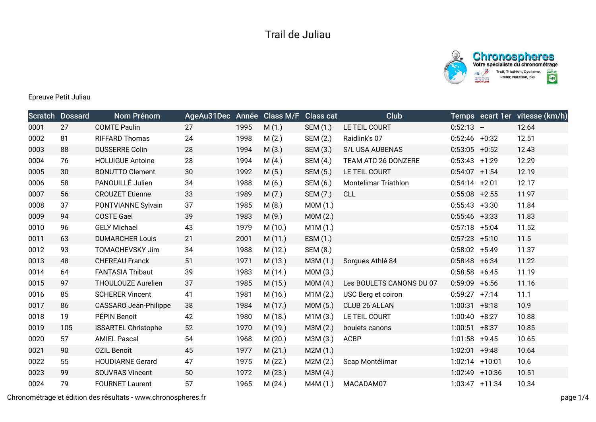



Epreuve Petit Juliau

|      | <b>Scratch Dossard</b> | Nom Prénom                   | AgeAu31Dec Année |      | <b>Class M/F</b> | <b>Class cat</b> | <b>Club</b>              |                  | Temps ecart 1er vitesse (km/h) |
|------|------------------------|------------------------------|------------------|------|------------------|------------------|--------------------------|------------------|--------------------------------|
| 0001 | 27                     | <b>COMTE Paulin</b>          | 27               | 1995 | M(1.)            | <b>SEM (1.)</b>  | LE TEIL COURT            | $0:52:13 -$      | 12.64                          |
| 0002 | 81                     | <b>RIFFARD Thomas</b>        | 24               | 1998 | M(2.)            | SEM (2.)         | Raidlink's 07            | $0:52:46$ +0:32  | 12.51                          |
| 0003 | 88                     | <b>DUSSERRE Colin</b>        | 28               | 1994 | M(3.)            | SEM (3.)         | S/L USA AUBENAS          | $0:53:05$ +0:52  | 12.43                          |
| 0004 | 76                     | <b>HOLUIGUE Antoine</b>      | 28               | 1994 | M(4.)            | SEM (4.)         | TEAM ATC 26 DONZERE      | $0:53:43$ +1:29  | 12.29                          |
| 0005 | 30                     | <b>BONUTTO Clement</b>       | 30               | 1992 | M(5.)            | SEM (5.)         | LE TEIL COURT            | $0:54:07$ +1:54  | 12.19                          |
| 0006 | 58                     | PANOUILLÉ Julien             | 34               | 1988 | M(6.)            | SEM (6.)         | Montelimar Triathlon     | $0:54:14$ +2:01  | 12.17                          |
| 0007 | 56                     | <b>CROUZET Etienne</b>       | 33               | 1989 | M(7.)            | SEM (7.)         | CLL                      | $0:55:08$ +2:55  | 11.97                          |
| 0008 | 37                     | PONTVIANNE Sylvain           | 37               | 1985 | M(8.)            | MOM(1.)          |                          | $0:55:43$ +3:30  | 11.84                          |
| 0009 | 94                     | <b>COSTE Gael</b>            | 39               | 1983 | M(9.)            | MOM(2.)          |                          | $0:55:46$ +3:33  | 11.83                          |
| 0010 | 96                     | <b>GELY Michael</b>          | 43               | 1979 | M(10.)           | M1M(1.)          |                          | $0:57:18$ +5:04  | 11.52                          |
| 0011 | 63                     | <b>DUMARCHER Louis</b>       | 21               | 2001 | M(11.)           | ESM (1.)         |                          | $0:57:23 +5:10$  | 11.5                           |
| 0012 | 93                     | TOMACHEVSKY Jim              | 34               | 1988 | M(12.)           | SEM (8.)         |                          | $0:58:02 +5:49$  | 11.37                          |
| 0013 | 48                     | <b>CHEREAU Franck</b>        | 51               | 1971 | M(13.)           | M3M (1.)         | Sorgues Athlé 84         | $0:58:48$ +6:34  | 11.22                          |
| 0014 | 64                     | <b>FANTASIA Thibaut</b>      | 39               | 1983 | M (14.)          | M0M (3.)         |                          | $0:58:58$ +6:45  | 11.19                          |
| 0015 | 97                     | THOULOUZE Aurelien           | 37               | 1985 | M (15.)          | MOM(4.)          | Les BOULETS CANONS DU 07 | $0:59:09$ +6:56  | 11.16                          |
| 0016 | 85                     | <b>SCHERER Vincent</b>       | 41               | 1981 | M (16.)          | M1M (2.)         | USC Berg et coiron       | $0:59:27$ +7:14  | 11.1                           |
| 0017 | 86                     | <b>CASSARO Jean-Philippe</b> | 38               | 1984 | M(17.)           | M0M (5.)         | CLUB 26 ALLAN            | $1:00:31$ +8:18  | 10.9                           |
| 0018 | 19                     | PÉPIN Benoit                 | 42               | 1980 | M (18.)          | M1M(3.)          | LE TEIL COURT            | $1:00:40 + 8:27$ | 10.88                          |
| 0019 | 105                    | <b>ISSARTEL Christophe</b>   | 52               | 1970 | M (19.)          | M3M (2.)         | boulets canons           | $1:00:51$ +8:37  | 10.85                          |
| 0020 | 57                     | <b>AMIEL Pascal</b>          | 54               | 1968 | M(20.)           | M3M (3.)         | <b>ACBP</b>              | $1:01:58$ +9:45  | 10.65                          |
| 0021 | 90                     | <b>OZIL Benoît</b>           | 45               | 1977 | M(21.)           | M2M (1.)         |                          | $1:02:01$ +9:48  | 10.64                          |
| 0022 | 55                     | <b>HOUDIARNE Gerard</b>      | 47               | 1975 | M (22.)          | M2M(2.)          | Scap Montélimar          | $1:02:14$ +10:01 | 10.6                           |
| 0023 | 99                     | <b>SOUVRAS Vincent</b>       | 50               | 1972 | M(23.)           | M3M (4.)         |                          | 1:02:49 +10:36   | 10.51                          |
| 0024 | 79                     | <b>FOURNET Laurent</b>       | 57               | 1965 | M(24.)           | M4M (1.)         | MACADAM07                | $1:03:47$ +11:34 | 10.34                          |

Chronométrage et édition des résultats - www.chronospheres.fr page 1/4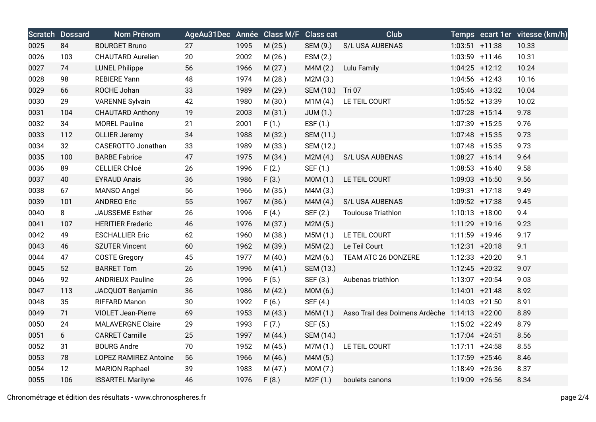|      | <b>Scratch Dossard</b> | Nom Prénom                   | AgeAu31Dec Année Class M/F Class cat |      |         |                 | Club                                          |                   | Temps ecart 1er vitesse (km/h) |
|------|------------------------|------------------------------|--------------------------------------|------|---------|-----------------|-----------------------------------------------|-------------------|--------------------------------|
| 0025 | 84                     | <b>BOURGET Bruno</b>         | 27                                   | 1995 | M(25.)  | SEM (9.)        | S/L USA AUBENAS                               | $1:03:51$ +11:38  | 10.33                          |
| 0026 | 103                    | <b>CHAUTARD Aurelien</b>     | 20                                   | 2002 | M (26.) | ESM (2.)        |                                               | 1:03:59 +11:46    | 10.31                          |
| 0027 | 74                     | <b>LUNEL Philippe</b>        | 56                                   | 1966 | M(27.)  | M4M(2.)         | Lulu Family                                   | $1:04:25$ +12:12  | 10.24                          |
| 0028 | 98                     | <b>REBIERE Yann</b>          | 48                                   | 1974 | M (28.) | M2M(3.)         |                                               | $1:04:56$ +12:43  | 10.16                          |
| 0029 | 66                     | ROCHE Johan                  | 33                                   | 1989 | M (29.) | SEM (10.)       | <b>Tri 07</b>                                 | 1:05:46 +13:32    | 10.04                          |
| 0030 | 29                     | <b>VARENNE Sylvain</b>       | 42                                   | 1980 | M (30.) | M1M(4.)         | LE TEIL COURT                                 | 1:05:52 +13:39    | 10.02                          |
| 0031 | 104                    | <b>CHAUTARD Anthony</b>      | 19                                   | 2003 | M(31.)  | <b>JUM (1.)</b> |                                               | 1:07:28 +15:14    | 9.78                           |
| 0032 | 34                     | <b>MOREL Pauline</b>         | 21                                   | 2001 | F(1.)   | ESF (1.)        |                                               | 1:07:39 +15:25    | 9.76                           |
| 0033 | 112                    | <b>OLLIER Jeremy</b>         | 34                                   | 1988 | M(32.)  | SEM (11.)       |                                               | 1:07:48 +15:35    | 9.73                           |
| 0034 | 32                     | CASEROTTO Jonathan           | 33                                   | 1989 | M (33.) | SEM (12.)       |                                               | 1:07:48 +15:35    | 9.73                           |
| 0035 | 100                    | <b>BARBE Fabrice</b>         | 47                                   | 1975 | M(34.)  | M2M(4.)         | S/L USA AUBENAS                               | $1:08:27$ +16:14  | 9.64                           |
| 0036 | 89                     | CELLIER Chloé                | 26                                   | 1996 | F(2.)   | SEF (1.)        |                                               | $1:08:53$ +16:40  | 9.58                           |
| 0037 | 40                     | <b>EYRAUD Anais</b>          | 36                                   | 1986 | F(3.)   | MOM(1.)         | LE TEIL COURT                                 | $1:09:03$ +16:50  | 9.56                           |
| 0038 | 67                     | MANSO Angel                  | 56                                   | 1966 | M (35.) | M4M (3.)        |                                               | $1:09:31$ +17:18  | 9.49                           |
| 0039 | 101                    | <b>ANDREO Eric</b>           | 55                                   | 1967 | M (36.) | M4M(4.)         | S/L USA AUBENAS                               | 1:09:52 +17:38    | 9.45                           |
| 0040 | 8                      | JAUSSEME Esther              | 26                                   | 1996 | F(4.)   | SEF (2.)        | <b>Toulouse Triathlon</b>                     | $1:10:13$ +18:00  | 9.4                            |
| 0041 | 107                    | <b>HERITIER Frederic</b>     | 46                                   | 1976 | M (37.) | M2M (5.)        |                                               | 1:11:29 +19:16    | 9.23                           |
| 0042 | 49                     | <b>ESCHALLIER Eric</b>       | 62                                   | 1960 | M (38.) | M5M (1.)        | LE TEIL COURT                                 | 1:11:59 +19:46    | 9.17                           |
| 0043 | 46                     | <b>SZUTER Vincent</b>        | 60                                   | 1962 | M (39.) | M5M(2.)         | Le Teil Court                                 | $1:12:31$ +20:18  | 9.1                            |
| 0044 | 47                     | <b>COSTE Gregory</b>         | 45                                   | 1977 | M(40.)  | M2M(6.)         | TEAM ATC 26 DONZERE                           | 1:12:33 +20:20    | 9.1                            |
| 0045 | 52                     | <b>BARRET Tom</b>            | 26                                   | 1996 | M(41.)  | SEM (13.)       |                                               | $1:12:45$ +20:32  | 9.07                           |
| 0046 | 92                     | <b>ANDRIEUX Pauline</b>      | 26                                   | 1996 | F(5.)   | SEF (3.)        | Aubenas triathlon                             | $1:13:07$ +20:54  | 9.03                           |
| 0047 | 113                    | JACQUOT Benjamin             | 36                                   | 1986 | M(42.)  | M0M (6.)        |                                               | $1:14:01$ +21:48  | 8.92                           |
| 0048 | 35                     | <b>RIFFARD Manon</b>         | 30                                   | 1992 | F(6.)   | SEF (4.)        |                                               | $1:14:03 +21:50$  | 8.91                           |
| 0049 | 71                     | <b>VIOLET Jean-Pierre</b>    | 69                                   | 1953 | M(43.)  | M6M (1.)        | Asso Trail des Dolmens Ardèche 1:14:13 +22:00 |                   | 8.89                           |
| 0050 | 24                     | <b>MALAVERGNE Claire</b>     | 29                                   | 1993 | F(7.)   | SEF (5.)        |                                               | 1:15:02 +22:49    | 8.79                           |
| 0051 | 6                      | <b>CARRET Camille</b>        | 25                                   | 1997 | M(44.)  | SEM (14.)       |                                               | $1:17:04$ +24:51  | 8.56                           |
| 0052 | 31                     | <b>BOURG Andre</b>           | 70                                   | 1952 | M(45.)  | M7M (1.)        | LE TEIL COURT                                 | $1:17:11 + 24:58$ | 8.55                           |
| 0053 | 78                     | <b>LOPEZ RAMIREZ Antoine</b> | 56                                   | 1966 | M(46.)  | M4M (5.)        |                                               | 1:17:59 +25:46    | 8.46                           |
| 0054 | 12                     | <b>MARION Raphael</b>        | 39                                   | 1983 | M(47.)  | M0M (7.)        |                                               | 1:18:49 +26:36    | 8.37                           |
| 0055 | 106                    | <b>ISSARTEL Marilyne</b>     | 46                                   | 1976 | F(8.)   | M2F(1.)         | boulets canons                                | 1:19:09 +26:56    | 8.34                           |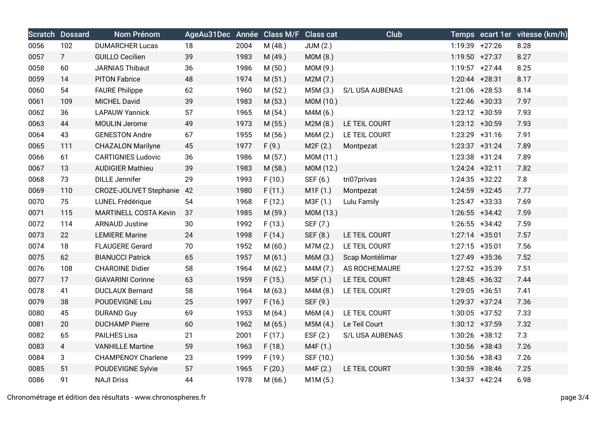|      | <b>Scratch Dossard</b> | Nom Prénom                   | AgeAu31Dec Année Class M/F Class cat |      |         |                 | Club            |                  | Temps ecart 1er vitesse (km/h) |
|------|------------------------|------------------------------|--------------------------------------|------|---------|-----------------|-----------------|------------------|--------------------------------|
| 0056 | 102                    | <b>DUMARCHER Lucas</b>       | 18                                   | 2004 | M (48.) | <b>JUM (2.)</b> |                 | 1:19:39 +27:26   | 8.28                           |
| 0057 | 7 <sup>1</sup>         | <b>GUILLO Cecilien</b>       | 39                                   | 1983 | M (49.) | M0M (8.)        |                 | 1:19:50 +27:37   | 8.27                           |
| 0058 | 60                     | <b>JARNIAS Thibaut</b>       | 36                                   | 1986 | M(50.)  | M0M (9.)        |                 | $1:19:57$ +27:44 | 8.25                           |
| 0059 | 14                     | <b>PITON Fabrice</b>         | 48                                   | 1974 | M(51.)  | M2M (7.)        |                 | $1:20:44$ +28:31 | 8.17                           |
| 0060 | 54                     | <b>FAURE Philippe</b>        | 62                                   | 1960 | M(52.)  | M5M (3.)        | S/L USA AUBENAS | $1:21:06$ +28:53 | 8.14                           |
| 0061 | 109                    | <b>MICHEL David</b>          | 39                                   | 1983 | M (53.) | M0M (10.)       |                 | $1:22:46$ +30:33 | 7.97                           |
| 0062 | 36                     | <b>LAPAUW Yannick</b>        | 57                                   | 1965 | M (54.) | M4M (6.)        |                 | $1:23:12$ +30:59 | 7.93                           |
| 0063 | 44                     | MOULIN Jerome                | 49                                   | 1973 | M(55.)  | M2M(8.)         | LE TEIL COURT   | 1:23:12 +30:59   | 7.93                           |
| 0064 | 43                     | <b>GENESTON Andre</b>        | 67                                   | 1955 | M(56.)  | M6M (2.)        | LE TEIL COURT   | $1:23:29$ +31:16 | 7.91                           |
| 0065 | 111                    | <b>CHAZALON Marilyne</b>     | 45                                   | 1977 | F(9.)   | M2F(2.)         | Montpezat       | $1:23:37$ +31:24 | 7.89                           |
| 0066 | 61                     | <b>CARTIGNIES Ludovic</b>    | 36                                   | 1986 | M(57.)  | M0M (11.)       |                 | 1:23:38 +31:24   | 7.89                           |
| 0067 | 13                     | <b>AUDIGIER Mathieu</b>      | 39                                   | 1983 | M (58.) | M0M (12.)       |                 | $1:24:24$ +32:11 | 7.82                           |
| 0068 | 73                     | <b>DILLE Jennifer</b>        | 29                                   | 1993 | F(10.)  | SEF (6.)        | tri07privas     | $1:24:35$ +32:22 | 7.8                            |
| 0069 | 110                    | CROZE-JOLIVET Stephanie      | 42                                   | 1980 | F(11.)  | M1F(1.)         | Montpezat       | 1:24:59 +32:45   | 7.77                           |
| 0070 | 75                     | LUNEL Frédérique             | 54                                   | 1968 | F(12.)  | M3F (1.)        | Lulu Family     | $1:25:47$ +33:33 | 7.69                           |
| 0071 | 115                    | <b>MARTINELL COSTA Kevin</b> | 37                                   | 1985 | M (59.) | M0M (13.)       |                 | $1:26:55$ +34:42 | 7.59                           |
| 0072 | 114                    | <b>ARNAUD Justine</b>        | 30                                   | 1992 | F(13.)  | SEF (7.)        |                 | $1:26:55$ +34:42 | 7.59                           |
| 0073 | 22                     | <b>LEMIERE Marine</b>        | 24                                   | 1998 | F(14.)  | SEF (8.)        | LE TEIL COURT   | $1:27:14$ +35:01 | 7.57                           |
| 0074 | 18                     | <b>FLAUGERE Gerard</b>       | 70                                   | 1952 | M(60.)  | M7M (2.)        | LE TEIL COURT   | $1:27:15$ +35:01 | 7.56                           |
| 0075 | 62                     | <b>BIANUCCI Patrick</b>      | 65                                   | 1957 | M(61.)  | M6M (3.)        | Scap Montélimar | 1:27:49 +35:36   | 7.52                           |
| 0076 | 108                    | <b>CHAROINE Didier</b>       | 58                                   | 1964 | M(62.)  | M4M (7.)        | AS ROCHEMAURE   | 1:27:52 +35:39   | 7.51                           |
| 0077 | 17                     | <b>GIAVARINI Corinne</b>     | 63                                   | 1959 | F(15.)  | M5F (1.)        | LE TEIL COURT   | $1:28:45$ +36:32 | 7.44                           |
| 0078 | 41                     | <b>DUCLAUX Bernard</b>       | 58                                   | 1964 | M(63.)  | M4M (8.)        | LE TEIL COURT   | $1:29:05$ +36:51 | 7.41                           |
| 0079 | 38                     | POUDEVIGNE Lou               | 25                                   | 1997 | F(16.)  | SEF (9.)        |                 | 1:29:37 +37:24   | 7.36                           |
| 0080 | 45                     | <b>DURAND Guy</b>            | 69                                   | 1953 | M(64.)  | M6M (4.)        | LE TEIL COURT   | $1:30:05$ +37:52 | 7.33                           |
| 0081 | 20                     | <b>DUCHAMP Pierre</b>        | 60                                   | 1962 | M(65.)  | M5M (4.)        | Le Teil Court   | $1:30:12 +37:59$ | 7.32                           |
| 0082 | 65                     | <b>PAILHES Lisa</b>          | 21                                   | 2001 | F(17.)  | ESF $(2.)$      | S/L USA AUBENAS | $1:30:26$ +38:12 | 7.3                            |
| 0083 | $\overline{4}$         | <b>VANHILLE Martine</b>      | 59                                   | 1963 | F(18.)  | M4F (1.)        |                 | $1:30:56$ +38:43 | 7.26                           |
| 0084 | 3                      | <b>CHAMPENOY Charlene</b>    | 23                                   | 1999 | F(19.)  | SEF (10.)       |                 | $1:30:56$ +38:43 | 7.26                           |
| 0085 | 51                     | POUDEVIGNE Sylvie            | 57                                   | 1965 | F(20.)  | M4F (2.)        | LE TEIL COURT   | $1:30:59$ +38:46 | 7.25                           |
| 0086 | 91                     | <b>NAJI Driss</b>            | 44                                   | 1978 | M(66.)  | M1M(5.)         |                 | $1:34:37$ +42:24 | 6.98                           |